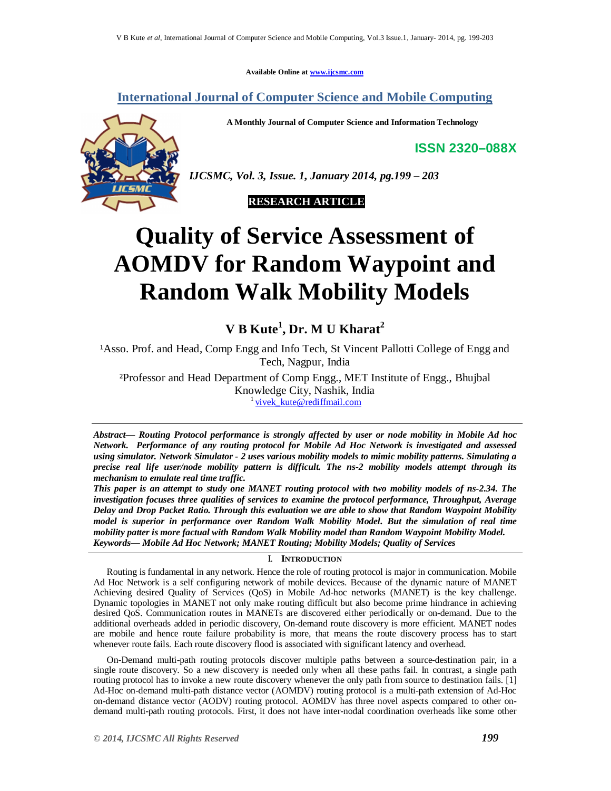**Available Online at www.ijcsmc.com**

**International Journal of Computer Science and Mobile Computing**

**A Monthly Journal of Computer Science and Information Technology**

**ISSN 2320–088X**



*IJCSMC, Vol. 3, Issue. 1, January 2014, pg.199 – 203*

 **RESEARCH ARTICLE**

# **Quality of Service Assessment of AOMDV for Random Waypoint and Random Walk Mobility Models**

# **V B Kute<sup>1</sup> , Dr. M U Kharat<sup>2</sup>**

<sup>1</sup>Asso. Prof. and Head, Comp Engg and Info Tech, St Vincent Pallotti College of Engg and Tech, Nagpur, India

²Professor and Head Department of Comp Engg., MET Institute of Engg., Bhujbal Knowledge City, Nashik, India <sup>1</sup> vivek\_kute@rediffmail.com

*Abstract— Routing Protocol performance is strongly affected by user or node mobility in Mobile Ad hoc Network. Performance of any routing protocol for Mobile Ad Hoc Network is investigated and assessed using simulator. Network Simulator - 2 uses various mobility models to mimic mobility patterns. Simulating a precise real life user/node mobility pattern is difficult. The ns-2 mobility models attempt through its mechanism to emulate real time traffic.* 

*This paper is an attempt to study one MANET routing protocol with two mobility models of ns-2.34. The investigation focuses three qualities of services to examine the protocol performance, Throughput, Average Delay and Drop Packet Ratio. Through this evaluation we are able to show that Random Waypoint Mobility model is superior in performance over Random Walk Mobility Model. But the simulation of real time mobility patter is more factual with Random Walk Mobility model than Random Waypoint Mobility Model. Keywords— Mobile Ad Hoc Network; MANET Routing; Mobility Models; Quality of Services*

# I. **INTRODUCTION**

Routing is fundamental in any network. Hence the role of routing protocol is major in communication. Mobile Ad Hoc Network is a self configuring network of mobile devices. Because of the dynamic nature of MANET Achieving desired Quality of Services (QoS) in Mobile Ad-hoc networks (MANET) is the key challenge. Dynamic topologies in MANET not only make routing difficult but also become prime hindrance in achieving desired QoS. Communication routes in MANETs are discovered either periodically or on-demand. Due to the additional overheads added in periodic discovery, On-demand route discovery is more efficient. MANET nodes are mobile and hence route failure probability is more, that means the route discovery process has to start whenever route fails. Each route discovery flood is associated with significant latency and overhead.

On-Demand multi-path routing protocols discover multiple paths between a source-destination pair, in a single route discovery. So a new discovery is needed only when all these paths fail. In contrast, a single path routing protocol has to invoke a new route discovery whenever the only path from source to destination fails. [1] Ad-Hoc on-demand multi-path distance vector (AOMDV) routing protocol is a multi-path extension of Ad-Hoc on-demand distance vector (AODV) routing protocol. AOMDV has three novel aspects compared to other ondemand multi-path routing protocols. First, it does not have inter-nodal coordination overheads like some other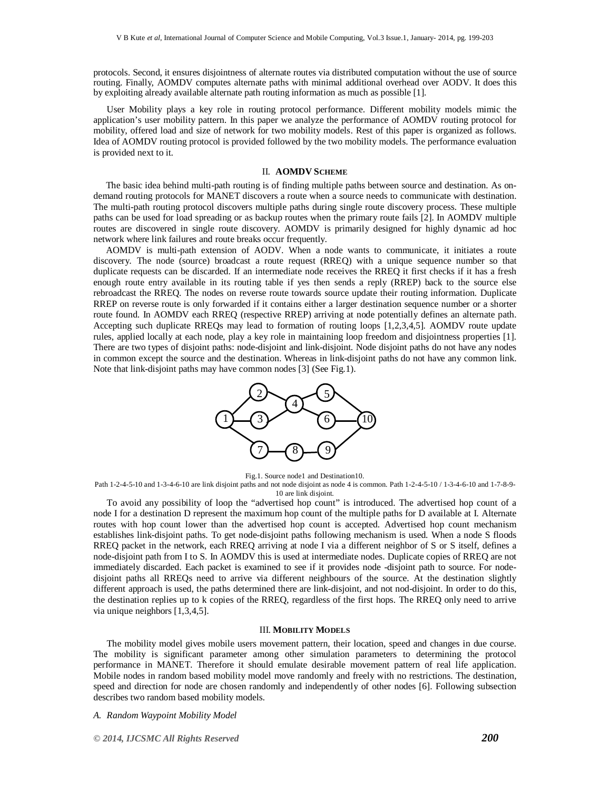protocols. Second, it ensures disjointness of alternate routes via distributed computation without the use of source routing. Finally, AOMDV computes alternate paths with minimal additional overhead over AODV. It does this by exploiting already available alternate path routing information as much as possible [1].

User Mobility plays a key role in routing protocol performance. Different mobility models mimic the application's user mobility pattern. In this paper we analyze the performance of AOMDV routing protocol for mobility, offered load and size of network for two mobility models. Rest of this paper is organized as follows. Idea of AOMDV routing protocol is provided followed by the two mobility models. The performance evaluation is provided next to it.

#### II. **AOMDV SCHEME**

The basic idea behind multi-path routing is of finding multiple paths between source and destination. As ondemand routing protocols for MANET discovers a route when a source needs to communicate with destination. The multi-path routing protocol discovers multiple paths during single route discovery process. These multiple paths can be used for load spreading or as backup routes when the primary route fails [2]. In AOMDV multiple routes are discovered in single route discovery. AOMDV is primarily designed for highly dynamic ad hoc network where link failures and route breaks occur frequently.

AOMDV is multi-path extension of AODV. When a node wants to communicate, it initiates a route discovery. The node (source) broadcast a route request (RREQ) with a unique sequence number so that duplicate requests can be discarded. If an intermediate node receives the RREQ it first checks if it has a fresh enough route entry available in its routing table if yes then sends a reply (RREP) back to the source else rebroadcast the RREQ. The nodes on reverse route towards source update their routing information. Duplicate RREP on reverse route is only forwarded if it contains either a larger destination sequence number or a shorter route found. In AOMDV each RREQ (respective RREP) arriving at node potentially defines an alternate path. Accepting such duplicate RREQs may lead to formation of routing loops [1,2,3,4,5]. AOMDV route update rules, applied locally at each node, play a key role in maintaining loop freedom and disjointness properties [1]. There are two types of disjoint paths: node-disjoint and link-disjoint. Node disjoint paths do not have any nodes in common except the source and the destination. Whereas in link-disjoint paths do not have any common link. Note that link-disjoint paths may have common nodes [3] (See Fig.1).



Fig.1. Source node1 and Destination10.

Path 1-2-4-5-10 and 1-3-4-6-10 are link disjoint paths and not node disjoint as node 4 is common. Path 1-2-4-5-10 / 1-3-4-6-10 and 1-7-8-9- 10 are link disjoint.

To avoid any possibility of loop the "advertised hop count" is introduced. The advertised hop count of a node I for a destination D represent the maximum hop count of the multiple paths for D available at I. Alternate routes with hop count lower than the advertised hop count is accepted. Advertised hop count mechanism establishes link-disjoint paths. To get node-disjoint paths following mechanism is used. When a node S floods RREQ packet in the network, each RREQ arriving at node I via a different neighbor of S or S itself, defines a node-disjoint path from I to S. In AOMDV this is used at intermediate nodes. Duplicate copies of RREQ are not immediately discarded. Each packet is examined to see if it provides node -disjoint path to source. For nodedisjoint paths all RREQs need to arrive via different neighbours of the source. At the destination slightly different approach is used, the paths determined there are link-disjoint, and not nod-disjoint. In order to do this, the destination replies up to k copies of the RREQ, regardless of the first hops. The RREQ only need to arrive via unique neighbors [1,3,4,5].

#### III. **MOBILITY MODELS**

The mobility model gives mobile users movement pattern, their location, speed and changes in due course. The mobility is significant parameter among other simulation parameters to determining the protocol performance in MANET. Therefore it should emulate desirable movement pattern of real life application. Mobile nodes in random based mobility model move randomly and freely with no restrictions. The destination, speed and direction for node are chosen randomly and independently of other nodes [6]. Following subsection describes two random based mobility models.

*A. Random Waypoint Mobility Model*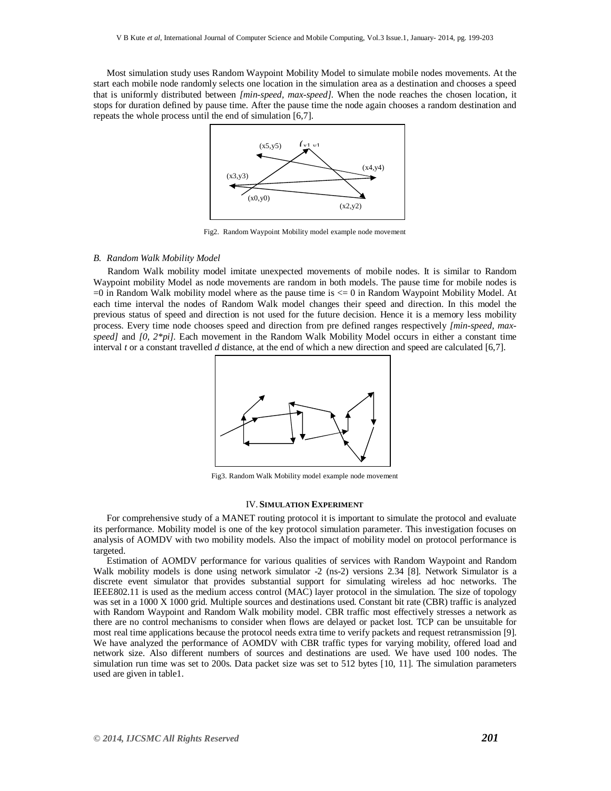Most simulation study uses Random Waypoint Mobility Model to simulate mobile nodes movements. At the start each mobile node randomly selects one location in the simulation area as a destination and chooses a speed that is uniformly distributed between *[min-speed, max-speed].* When the node reaches the chosen location, it stops for duration defined by pause time. After the pause time the node again chooses a random destination and repeats the whole process until the end of simulation [6,7].



Fig2. Random Waypoint Mobility model example node movement

## *B. Random Walk Mobility Model*

Random Walk mobility model imitate unexpected movements of mobile nodes. It is similar to Random Waypoint mobility Model as node movements are random in both models. The pause time for mobile nodes is  $=0$  in Random Walk mobility model where as the pause time is  $\leq 0$  in Random Waypoint Mobility Model. At each time interval the nodes of Random Walk model changes their speed and direction. In this model the previous status of speed and direction is not used for the future decision. Hence it is a memory less mobility process. Every time node chooses speed and direction from pre defined ranges respectively *[min-speed, maxspeed]* and *[0, 2\*pi].* Each movement in the Random Walk Mobility Model occurs in either a constant time interval *t* or a constant travelled *d* distance, at the end of which a new direction and speed are calculated [6,7].



Fig3. Random Walk Mobility model example node movement

#### IV. **SIMULATION EXPERIMENT**

For comprehensive study of a MANET routing protocol it is important to simulate the protocol and evaluate its performance. Mobility model is one of the key protocol simulation parameter. This investigation focuses on analysis of AOMDV with two mobility models. Also the impact of mobility model on protocol performance is targeted.

Estimation of AOMDV performance for various qualities of services with Random Waypoint and Random Walk mobility models is done using network simulator -2 (ns-2) versions 2.34 [8]. Network Simulator is a discrete event simulator that provides substantial support for simulating wireless ad hoc networks. The IEEE802.11 is used as the medium access control (MAC) layer protocol in the simulation. The size of topology was set in a 1000 X 1000 grid. Multiple sources and destinations used. Constant bit rate (CBR) traffic is analyzed with Random Waypoint and Random Walk mobility model. CBR traffic most effectively stresses a network as there are no control mechanisms to consider when flows are delayed or packet lost. TCP can be unsuitable for most real time applications because the protocol needs extra time to verify packets and request retransmission [9]. We have analyzed the performance of AOMDV with CBR traffic types for varying mobility, offered load and network size. Also different numbers of sources and destinations are used. We have used 100 nodes. The simulation run time was set to 200s. Data packet size was set to 512 bytes [10, 11]. The simulation parameters used are given in table1.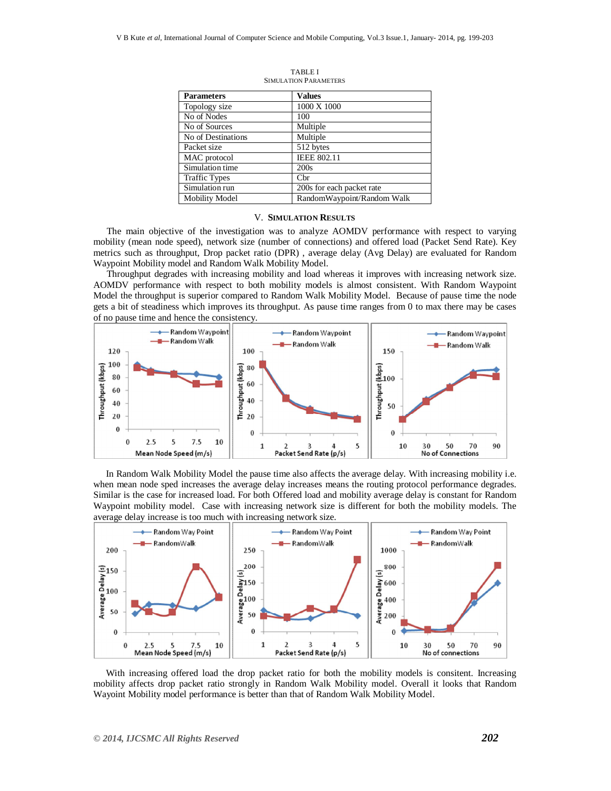| <b>Parameters</b>     | <b>Values</b>              |
|-----------------------|----------------------------|
| Topology size         | 1000 X 1000                |
| No of Nodes           | 100                        |
| No of Sources         | Multiple                   |
| No of Destinations    | Multiple                   |
| Packet size           | 512 bytes                  |
| MAC protocol          | <b>IEEE 802.11</b>         |
| Simulation time       | 200s                       |
| <b>Traffic Types</b>  | $_{\rm Cbr}$               |
| Simulation run        | 200s for each packet rate  |
| <b>Mobility Model</b> | RandomWaypoint/Random Walk |

TABLE I SIMULATION PARAMETERS

## V. **SIMULATION RESULTS**

The main objective of the investigation was to analyze AOMDV performance with respect to varying mobility (mean node speed), network size (number of connections) and offered load (Packet Send Rate). Key metrics such as throughput, Drop packet ratio (DPR) , average delay (Avg Delay) are evaluated for Random Waypoint Mobility model and Random Walk Mobility Model.

Throughput degrades with increasing mobility and load whereas it improves with increasing network size. AOMDV performance with respect to both mobility models is almost consistent. With Random Waypoint Model the throughput is superior compared to Random Walk Mobility Model. Because of pause time the node gets a bit of steadiness which improves its throughput. As pause time ranges from 0 to max there may be cases of no pause time and hence the consistency.



In Random Walk Mobility Model the pause time also affects the average delay. With increasing mobility i.e. when mean node sped increases the average delay increases means the routing protocol performance degrades. Similar is the case for increased load. For both Offered load and mobility average delay is constant for Random Waypoint mobility model. Case with increasing network size is different for both the mobility models. The average delay increase is too much with increasing network size.



With increasing offered load the drop packet ratio for both the mobility models is consitent. Increasing mobility affects drop packet ratio strongly in Random Walk Mobility model. Overall it looks that Random Wayoint Mobility model performance is better than that of Random Walk Mobility Model.